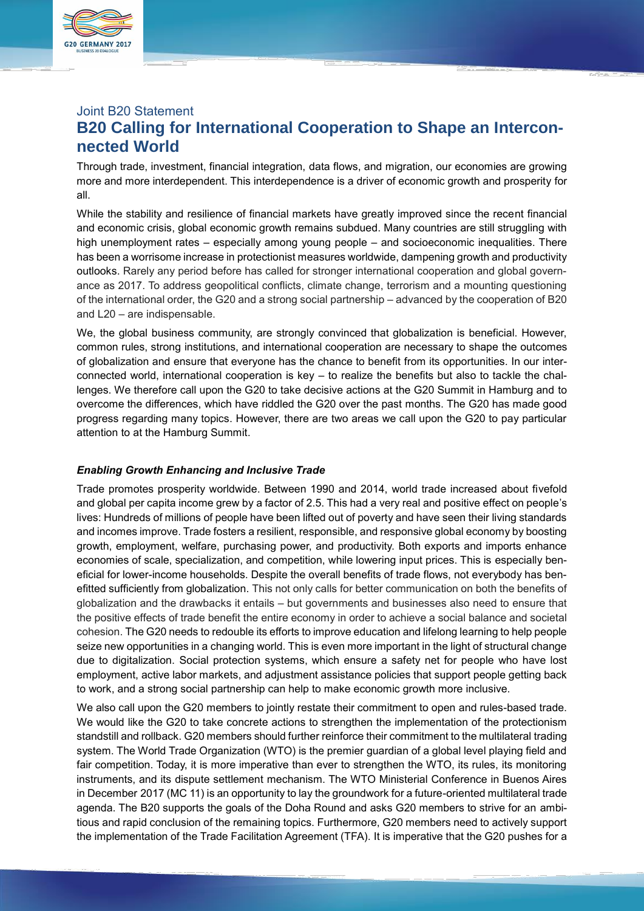

# Joint B20 Statement **B20 Calling for International Cooperation to Shape an Interconnected World**

Through trade, investment, financial integration, data flows, and migration, our economies are growing more and more interdependent. This interdependence is a driver of economic growth and prosperity for all.

While the stability and resilience of financial markets have greatly improved since the recent financial and economic crisis, global economic growth remains subdued. Many countries are still struggling with high unemployment rates – especially among young people – and socioeconomic inequalities. There has been a worrisome increase in protectionist measures worldwide, dampening growth and productivity outlooks. Rarely any period before has called for stronger international cooperation and global governance as 2017. To address geopolitical conflicts, climate change, terrorism and a mounting questioning of the international order, the G20 and a strong social partnership – advanced by the cooperation of B20 and L20 – are indispensable.

We, the global business community, are strongly convinced that globalization is beneficial. However, common rules, strong institutions, and international cooperation are necessary to shape the outcomes of globalization and ensure that everyone has the chance to benefit from its opportunities. In our interconnected world, international cooperation is key – to realize the benefits but also to tackle the challenges. We therefore call upon the G20 to take decisive actions at the G20 Summit in Hamburg and to overcome the differences, which have riddled the G20 over the past months. The G20 has made good progress regarding many topics. However, there are two areas we call upon the G20 to pay particular attention to at the Hamburg Summit.

# *Enabling Growth Enhancing and Inclusive Trade*

Trade promotes prosperity worldwide. Between 1990 and 2014, world trade increased about fivefold and global per capita income grew by a factor of 2.5. This had a very real and positive effect on people's lives: Hundreds of millions of people have been lifted out of poverty and have seen their living standards and incomes improve. Trade fosters a resilient, responsible, and responsive global economy by boosting growth, employment, welfare, purchasing power, and productivity. Both exports and imports enhance economies of scale, specialization, and competition, while lowering input prices. This is especially beneficial for lower-income households. Despite the overall benefits of trade flows, not everybody has benefitted sufficiently from globalization. This not only calls for better communication on both the benefits of globalization and the drawbacks it entails – but governments and businesses also need to ensure that the positive effects of trade benefit the entire economy in order to achieve a social balance and societal cohesion. The G20 needs to redouble its efforts to improve education and lifelong learning to help people seize new opportunities in a changing world. This is even more important in the light of structural change due to digitalization. Social protection systems, which ensure a safety net for people who have lost employment, active labor markets, and adjustment assistance policies that support people getting back to work, and a strong social partnership can help to make economic growth more inclusive.

We also call upon the G20 members to jointly restate their commitment to open and rules-based trade. We would like the G20 to take concrete actions to strengthen the implementation of the protectionism standstill and rollback. G20 members should further reinforce their commitment to the multilateral trading system. The World Trade Organization (WTO) is the premier guardian of a global level playing field and fair competition. Today, it is more imperative than ever to strengthen the WTO, its rules, its monitoring instruments, and its dispute settlement mechanism. The WTO Ministerial Conference in Buenos Aires in December 2017 (MC 11) is an opportunity to lay the groundwork for a future-oriented multilateral trade agenda. The B20 supports the goals of the Doha Round and asks G20 members to strive for an ambitious and rapid conclusion of the remaining topics. Furthermore, G20 members need to actively support the implementation of the Trade Facilitation Agreement (TFA). It is imperative that the G20 pushes for a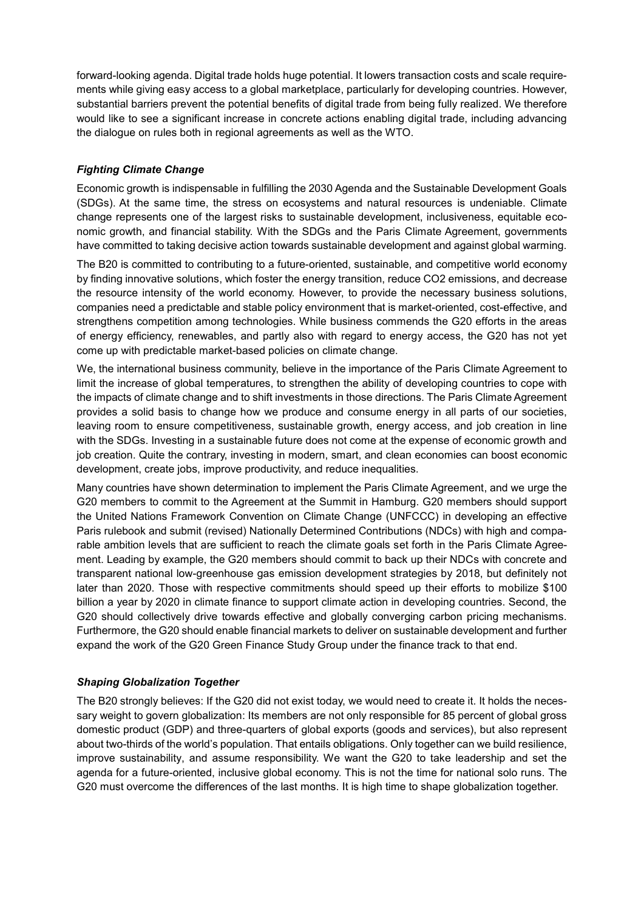forward-looking agenda. Digital trade holds huge potential. It lowers transaction costs and scale requirements while giving easy access to a global marketplace, particularly for developing countries. However, substantial barriers prevent the potential benefits of digital trade from being fully realized. We therefore would like to see a significant increase in concrete actions enabling digital trade, including advancing the dialogue on rules both in regional agreements as well as the WTO.

# *Fighting Climate Change*

Economic growth is indispensable in fulfilling the 2030 Agenda and the Sustainable Development Goals (SDGs). At the same time, the stress on ecosystems and natural resources is undeniable. Climate change represents one of the largest risks to sustainable development, inclusiveness, equitable economic growth, and financial stability. With the SDGs and the Paris Climate Agreement, governments have committed to taking decisive action towards sustainable development and against global warming.

The B20 is committed to contributing to a future-oriented, sustainable, and competitive world economy by finding innovative solutions, which foster the energy transition, reduce CO2 emissions, and decrease the resource intensity of the world economy. However, to provide the necessary business solutions, companies need a predictable and stable policy environment that is market-oriented, cost-effective, and strengthens competition among technologies. While business commends the G20 efforts in the areas of energy efficiency, renewables, and partly also with regard to energy access, the G20 has not yet come up with predictable market-based policies on climate change.

We, the international business community, believe in the importance of the Paris Climate Agreement to limit the increase of global temperatures, to strengthen the ability of developing countries to cope with the impacts of climate change and to shift investments in those directions. The Paris Climate Agreement provides a solid basis to change how we produce and consume energy in all parts of our societies, leaving room to ensure competitiveness, sustainable growth, energy access, and job creation in line with the SDGs. Investing in a sustainable future does not come at the expense of economic growth and job creation. Quite the contrary, investing in modern, smart, and clean economies can boost economic development, create jobs, improve productivity, and reduce inequalities.

Many countries have shown determination to implement the Paris Climate Agreement, and we urge the G20 members to commit to the Agreement at the Summit in Hamburg. G20 members should support the United Nations Framework Convention on Climate Change (UNFCCC) in developing an effective Paris rulebook and submit (revised) Nationally Determined Contributions (NDCs) with high and comparable ambition levels that are sufficient to reach the climate goals set forth in the Paris Climate Agreement. Leading by example, the G20 members should commit to back up their NDCs with concrete and transparent national low-greenhouse gas emission development strategies by 2018, but definitely not later than 2020. Those with respective commitments should speed up their efforts to mobilize \$100 billion a year by 2020 in climate finance to support climate action in developing countries. Second, the G20 should collectively drive towards effective and globally converging carbon pricing mechanisms. Furthermore, the G20 should enable financial markets to deliver on sustainable development and further expand the work of the G20 Green Finance Study Group under the finance track to that end.

# *Shaping Globalization Together*

The B20 strongly believes: If the G20 did not exist today, we would need to create it. It holds the necessary weight to govern globalization: Its members are not only responsible for 85 percent of global gross domestic product (GDP) and three-quarters of global exports (goods and services), but also represent about two-thirds of the world's population. That entails obligations. Only together can we build resilience, improve sustainability, and assume responsibility. We want the G20 to take leadership and set the agenda for a future-oriented, inclusive global economy. This is not the time for national solo runs. The G20 must overcome the differences of the last months. It is high time to shape globalization together.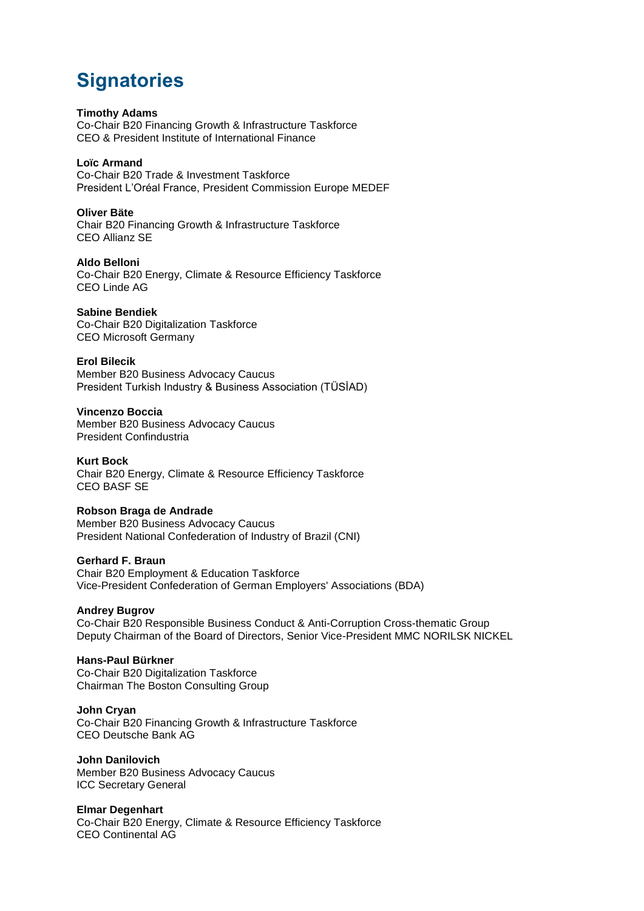# **Signatories**

# **Timothy Adams**

Co-Chair B20 Financing Growth & Infrastructure Taskforce CEO & President Institute of International Finance

#### **Loïc Armand**

Co-Chair B20 Trade & Investment Taskforce President L'Oréal France, President Commission Europe MEDEF

#### **Oliver Bäte**

Chair B20 Financing Growth & Infrastructure Taskforce CEO Allianz SE

#### **Aldo Belloni**

Co-Chair B20 Energy, Climate & Resource Efficiency Taskforce CEO Linde AG

# **Sabine Bendiek**

Co-Chair B20 Digitalization Taskforce CEO Microsoft Germany

# **Erol Bilecik**

Member B20 Business Advocacy Caucus President Turkish Industry & Business Association (TÜSİAD)

#### **Vincenzo Boccia**

Member B20 Business Advocacy Caucus President Confindustria

**Kurt Bock** Chair B20 Energy, Climate & Resource Efficiency Taskforce CEO BASF SE

# **Robson Braga de Andrade**

Member B20 Business Advocacy Caucus President National Confederation of Industry of Brazil (CNI)

#### **Gerhard F. Braun**

Chair B20 Employment & Education Taskforce Vice-President Confederation of German Employers' Associations (BDA)

# **Andrey Bugrov**

Co-Chair B20 Responsible Business Conduct & Anti-Corruption Cross-thematic Group Deputy Chairman of the Board of Directors, Senior Vice-President MMC NORILSK NICKEL

# **Hans-Paul Bürkner**

Co-Chair B20 Digitalization Taskforce Chairman The Boston Consulting Group

**John Cryan** Co-Chair B20 Financing Growth & Infrastructure Taskforce CEO Deutsche Bank AG

**John Danilovich** Member B20 Business Advocacy Caucus ICC Secretary General

# **Elmar Degenhart**

Co-Chair B20 Energy, Climate & Resource Efficiency Taskforce CEO Continental AG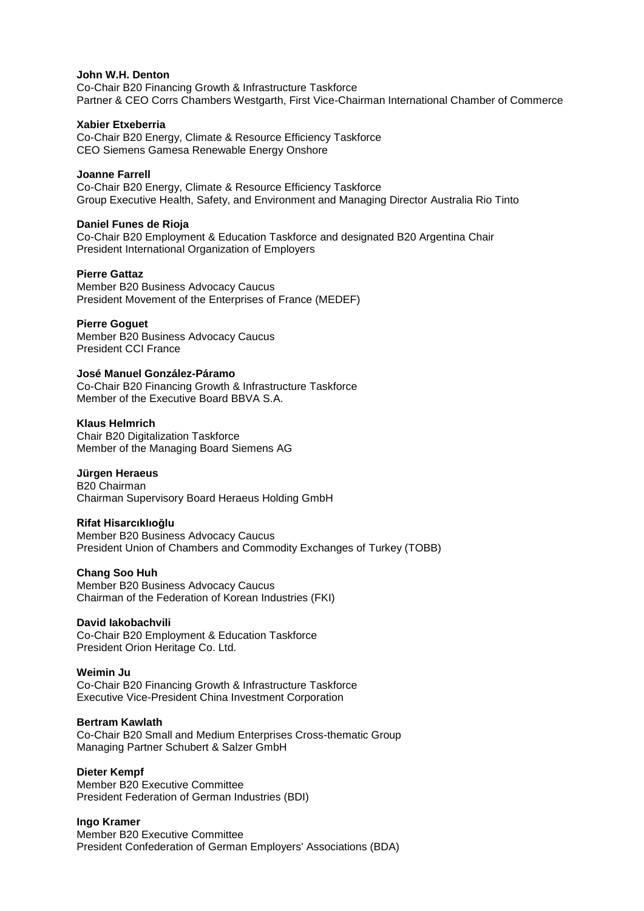#### **John W.H. Denton**

Co-Chair B20 Financing Growth & Infrastructure Taskforce Partner & CEO Corrs Chambers Westgarth, First Vice-Chairman International Chamber of Commerce

#### **Xabier Etxeberria**

Co-Chair B20 Energy, Climate & Resource Efficiency Taskforce CEO Siemens Gamesa Renewable Energy Onshore

#### **Joanne Farrell**

Co-Chair B20 Energy, Climate & Resource Efficiency Taskforce Group Executive Health, Safety, and Environment and Managing Director Australia Rio Tinto

#### **Daniel Funes de Rioja**

Co-Chair B20 Employment & Education Taskforce and designated B20 Argentina Chair President International Organization of Employers

#### **Pierre Gattaz**

Member B20 Business Advocacy Caucus President Movement of the Enterprises of France (MEDEF)

#### **Pierre Goguet**

Member B20 Business Advocacy Caucus President CCI France

#### **José Manuel González-Páramo**

Co-Chair B20 Financing Growth & Infrastructure Taskforce Member of the Executive Board BBVA S.A.

#### **Klaus Helmrich**

Chair B20 Digitalization Taskforce Member of the Managing Board Siemens AG

# **Jürgen Heraeus**

B20 Chairman Chairman Supervisory Board Heraeus Holding GmbH

# **Rifat Hisarcıklıoğlu**

Member B20 Business Advocacy Caucus President Union of Chambers and Commodity Exchanges of Turkey (TOBB)

# **Chang Soo Huh**

Member B20 Business Advocacy Caucus Chairman of the Federation of Korean Industries (FKI)

# **David Iakobachvili**

Co-Chair B20 Employment & Education Taskforce President Orion Heritage Co. Ltd.

#### **Weimin Ju**

Co-Chair B20 Financing Growth & Infrastructure Taskforce Executive Vice-President China Investment Corporation

#### **Bertram Kawlath**

Co-Chair B20 Small and Medium Enterprises Cross-thematic Group Managing Partner Schubert & Salzer GmbH

#### **Dieter Kempf**

Member B20 Executive Committee President Federation of German Industries (BDI)

# **Ingo Kramer**

Member B20 Executive Committee President Confederation of German Employers' Associations (BDA)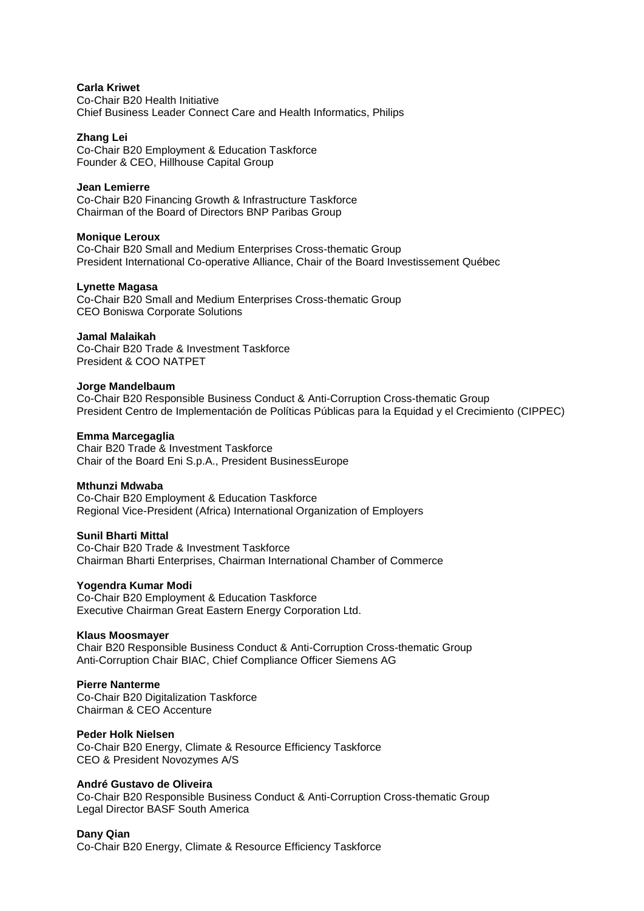#### **Carla Kriwet**

Co-Chair B20 Health Initiative Chief Business Leader Connect Care and Health Informatics, Philips

#### **Zhang Lei**

Co-Chair B20 Employment & Education Taskforce Founder & CEO, Hillhouse Capital Group

#### **Jean Lemierre**

Co-Chair B20 Financing Growth & Infrastructure Taskforce Chairman of the Board of Directors BNP Paribas Group

#### **Monique Leroux**

Co-Chair B20 Small and Medium Enterprises Cross-thematic Group President International Co-operative Alliance, Chair of the Board Investissement Québec

#### **Lynette Magasa**

Co-Chair B20 Small and Medium Enterprises Cross-thematic Group CEO Boniswa Corporate Solutions

#### **Jamal Malaikah**

Co-Chair B20 Trade & Investment Taskforce President & COO NATPET

#### **Jorge Mandelbaum**

Co-Chair B20 Responsible Business Conduct & Anti-Corruption Cross-thematic Group President Centro de Implementación de Políticas Públicas para la Equidad y el Crecimiento (CIPPEC)

#### **Emma Marcegaglia**

Chair B20 Trade & Investment Taskforce Chair of the Board Eni S.p.A., President BusinessEurope

#### **Mthunzi Mdwaba**

Co-Chair B20 Employment & Education Taskforce Regional Vice-President (Africa) International Organization of Employers

#### **Sunil Bharti Mittal**

Co-Chair B20 Trade & Investment Taskforce Chairman Bharti Enterprises, Chairman International Chamber of Commerce

# **Yogendra Kumar Modi**

Co-Chair B20 Employment & Education Taskforce Executive Chairman Great Eastern Energy Corporation Ltd.

# **Klaus Moosmayer**

Chair B20 Responsible Business Conduct & Anti-Corruption Cross-thematic Group Anti-Corruption Chair BIAC, Chief Compliance Officer Siemens AG

# **Pierre Nanterme**

Co-Chair B20 Digitalization Taskforce Chairman & CEO Accenture

# **Peder Holk Nielsen**

Co-Chair B20 Energy, Climate & Resource Efficiency Taskforce CEO & President Novozymes A/S

# **André Gustavo de Oliveira**

Co-Chair B20 Responsible Business Conduct & Anti-Corruption Cross-thematic Group Legal Director BASF South America

# **Dany Qian**

Co-Chair B20 Energy, Climate & Resource Efficiency Taskforce